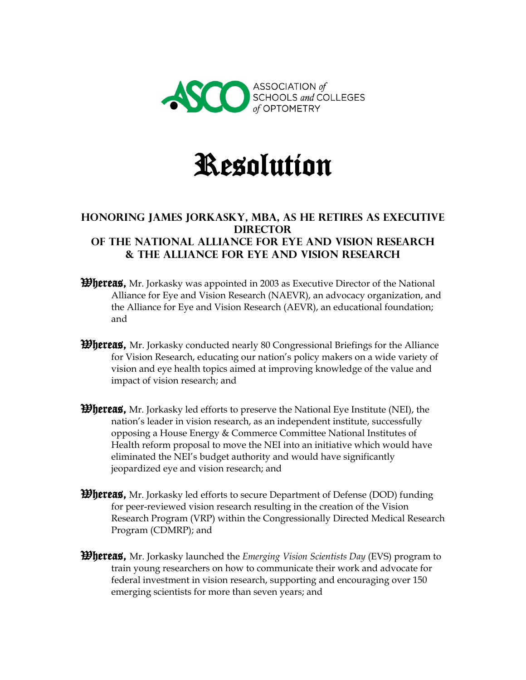

## Resolution

## **Honoring James Jorkasky, MBA, as he retires as Executive Director of the National Alliance for Eye and Vision Research & the Alliance for Eye and Vision Research**

- *Whereas*, Mr. Jorkasky was appointed in 2003 as Executive Director of the National Alliance for Eye and Vision Research (NAEVR), an advocacy organization, and the Alliance for Eye and Vision Research (AEVR), an educational foundation; and
- **Whereas,** Mr. Jorkasky conducted nearly 80 Congressional Briefings for the Alliance for Vision Research, educating our nation's policy makers on a wide variety of vision and eye health topics aimed at improving knowledge of the value and impact of vision research; and
- **Whereas,** Mr. Jorkasky led efforts to preserve the National Eye Institute (NEI), the nation's leader in vision research, as an independent institute, successfully opposing a House Energy & Commerce Committee National Institutes of Health reform proposal to move the NEI into an initiative which would have eliminated the NEI's budget authority and would have significantly jeopardized eye and vision research; and
- *Whereas*, Mr. Jorkasky led efforts to secure Department of Defense (DOD) funding for peer-reviewed vision research resulting in the creation of the Vision Research Program (VRP) within the Congressionally Directed Medical Research Program (CDMRP); and
- Whereas, Mr. Jorkasky launched the *Emerging Vision Scientists Day* (EVS) program to train young researchers on how to communicate their work and advocate for federal investment in vision research, supporting and encouraging over 150 emerging scientists for more than seven years; and